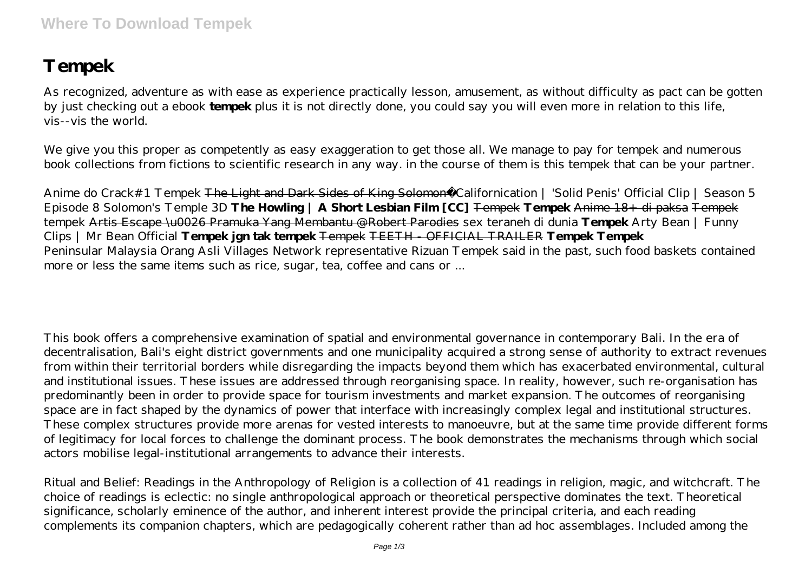## **Tempek**

As recognized, adventure as with ease as experience practically lesson, amusement, as without difficulty as pact can be gotten by just checking out a ebook **tempek** plus it is not directly done, you could say you will even more in relation to this life, vis--vis the world.

We give you this proper as competently as easy exaggeration to get those all. We manage to pay for tempek and numerous book collections from fictions to scientific research in any way. in the course of them is this tempek that can be your partner.

Anime do Crack#1 Tempek The Light and Dark Sides of King Solomon-Californication | 'Solid Penis' Official Clip | Season 5 Episode 8 *Solomon's Temple 3D* **The Howling | A Short Lesbian Film [CC]** Tempek **Tempek** Anime 18+ di paksa Tempek *tempek* Artis Escape \u0026 Pramuka Yang Membantu @Robert Parodies sex teraneh di dunia **Tempek** Arty Bean | Funny Clips | Mr Bean Official **Tempek jgn tak tempek** Tempek TEETH - OFFICIAL TRAILER **Tempek Tempek** Peninsular Malaysia Orang Asli Villages Network representative Rizuan Tempek said in the past, such food baskets contained more or less the same items such as rice, sugar, tea, coffee and cans or ...

This book offers a comprehensive examination of spatial and environmental governance in contemporary Bali. In the era of decentralisation, Bali's eight district governments and one municipality acquired a strong sense of authority to extract revenues from within their territorial borders while disregarding the impacts beyond them which has exacerbated environmental, cultural and institutional issues. These issues are addressed through reorganising space. In reality, however, such re-organisation has predominantly been in order to provide space for tourism investments and market expansion. The outcomes of reorganising space are in fact shaped by the dynamics of power that interface with increasingly complex legal and institutional structures. These complex structures provide more arenas for vested interests to manoeuvre, but at the same time provide different forms of legitimacy for local forces to challenge the dominant process. The book demonstrates the mechanisms through which social actors mobilise legal-institutional arrangements to advance their interests.

Ritual and Belief: Readings in the Anthropology of Religion is a collection of 41 readings in religion, magic, and witchcraft. The choice of readings is eclectic: no single anthropological approach or theoretical perspective dominates the text. Theoretical significance, scholarly eminence of the author, and inherent interest provide the principal criteria, and each reading complements its companion chapters, which are pedagogically coherent rather than ad hoc assemblages. Included among the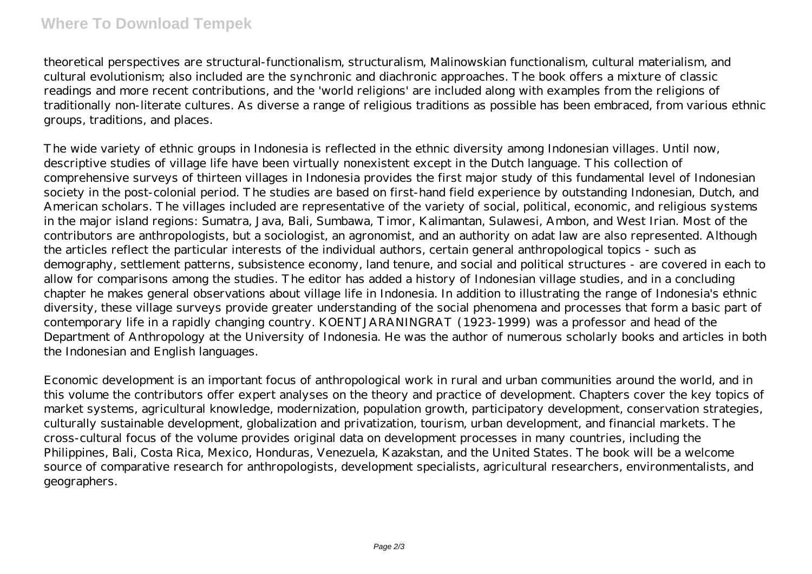theoretical perspectives are structural-functionalism, structuralism, Malinowskian functionalism, cultural materialism, and cultural evolutionism; also included are the synchronic and diachronic approaches. The book offers a mixture of classic readings and more recent contributions, and the 'world religions' are included along with examples from the religions of traditionally non-literate cultures. As diverse a range of religious traditions as possible has been embraced, from various ethnic groups, traditions, and places.

The wide variety of ethnic groups in Indonesia is reflected in the ethnic diversity among Indonesian villages. Until now, descriptive studies of village life have been virtually nonexistent except in the Dutch language. This collection of comprehensive surveys of thirteen villages in Indonesia provides the first major study of this fundamental level of Indonesian society in the post-colonial period. The studies are based on first-hand field experience by outstanding Indonesian, Dutch, and American scholars. The villages included are representative of the variety of social, political, economic, and religious systems in the major island regions: Sumatra, Java, Bali, Sumbawa, Timor, Kalimantan, Sulawesi, Ambon, and West Irian. Most of the contributors are anthropologists, but a sociologist, an agronomist, and an authority on adat law are also represented. Although the articles reflect the particular interests of the individual authors, certain general anthropological topics - such as demography, settlement patterns, subsistence economy, land tenure, and social and political structures - are covered in each to allow for comparisons among the studies. The editor has added a history of Indonesian village studies, and in a concluding chapter he makes general observations about village life in Indonesia. In addition to illustrating the range of Indonesia's ethnic diversity, these village surveys provide greater understanding of the social phenomena and processes that form a basic part of contemporary life in a rapidly changing country. KOENTJARANINGRAT (1923-1999) was a professor and head of the Department of Anthropology at the University of Indonesia. He was the author of numerous scholarly books and articles in both the Indonesian and English languages.

Economic development is an important focus of anthropological work in rural and urban communities around the world, and in this volume the contributors offer expert analyses on the theory and practice of development. Chapters cover the key topics of market systems, agricultural knowledge, modernization, population growth, participatory development, conservation strategies, culturally sustainable development, globalization and privatization, tourism, urban development, and financial markets. The cross-cultural focus of the volume provides original data on development processes in many countries, including the Philippines, Bali, Costa Rica, Mexico, Honduras, Venezuela, Kazakstan, and the United States. The book will be a welcome source of comparative research for anthropologists, development specialists, agricultural researchers, environmentalists, and geographers.